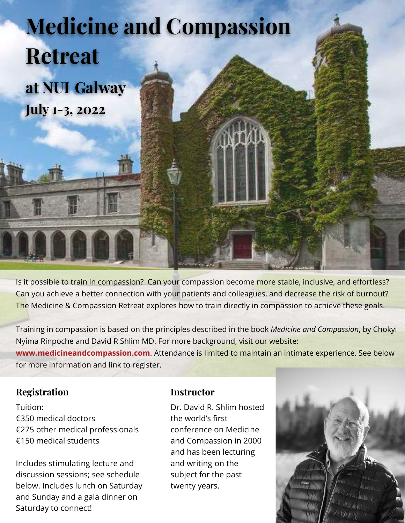# **Medicine and Compassion July 1-3, 2022 Retreat at NUI Galway**

Is it possible to train in compassion? Can your compassion become more stable, inclusive, and effortless? Can you achieve a better connection with your patients and colleagues, and decrease the risk of burnout? The Medicine & Compassion Retreat explores how to train directly in compassion to achieve these goals.

Training in compassion is based on the principles described in the book *Medicine and Compassion*, by Chokyi Nyima Rinpoche and David R Shlim MD. For more background, visit our website: **[www.medicineandcompassion.com](http://www.medicineandcompassion.com/)**. Attendance is limited to maintain an intimate experience. See below for more information and link to register.

#### **Registration**

Tuition: €350 medical doctors €275 other medical professionals €150 medical students

Includes stimulating lecture and discussion sessions; see schedule below. Includes lunch on Saturday and Sunday and a gala dinner on Saturday to connect!

#### **Instructor**

Dr. David R. Shlim hosted the world's first conference on Medicine and Compassion in 2000 and has been lecturing and writing on the subject for the past twenty years.

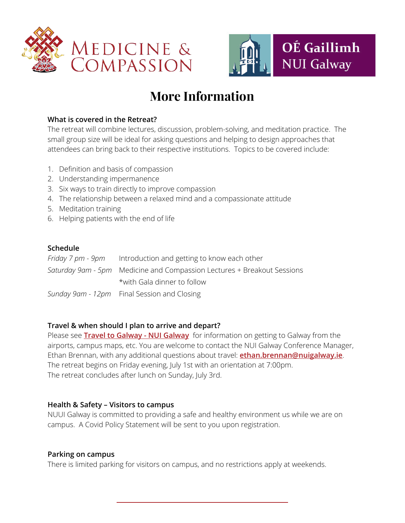



### **More Information**

#### **What is covered in the Retreat?**

The retreat will combine lectures, discussion, problem-solving, and meditation practice. The small group size will be ideal for asking questions and helping to design approaches that attendees can bring back to their respective institutions. Topics to be covered include:

- 1. Definition and basis of compassion
- 2. Understanding impermanence
- 3. Six ways to train directly to improve compassion
- 4. The relationship between a relaxed mind and a compassionate attitude
- 5. Meditation training
- 6. Helping patients with the end of life

#### **Schedule**

| <i>Friday 7 pm - 9pm</i> Introduction and getting to know each other    |
|-------------------------------------------------------------------------|
| Saturday 9am - 5pm Medicine and Compassion Lectures + Breakout Sessions |
| *with Gala dinner to follow                                             |
| Sunday 9am - 12pm Final Session and Closing                             |

#### **Travel & when should I plan to arrive and depart?**

Please see **[Travel to Galway - NUI Galway](https://www.nuigalway.ie/events/location/traveltogalway/)** for information on getting to Galway from the airports, campus maps, etc. You are welcome to contact the NUI Galway Conference Manager, Ethan Brennan, with any additional questions about travel: **[ethan.brennan@nuigalway.ie](mailto:ethan.brennan@nuigalway.ie)**. The retreat begins on Friday evening, July 1st with an orientation at 7:00pm. The retreat concludes after lunch on Sunday, July 3rd.

#### **Health & Safety – Visitors to campus**

NUUI Galway is committed to providing a safe and healthy environment us while we are on campus. A Covid Policy Statement will be sent to you upon registration.

#### **Parking on campus**

There is limited parking for visitors on campus, and no restrictions apply at weekends.